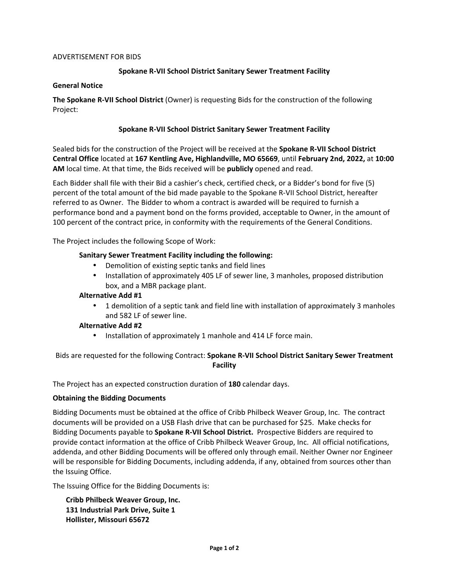## ADVERTISEMENT FOR BIDS

# **Spokane R-VII School District Sanitary Sewer Treatment Facility**

## **General Notice**

**The Spokane R-VII School District** (Owner) is requesting Bids for the construction of the following Project:

# **Spokane R-VII School District Sanitary Sewer Treatment Facility**

Sealed bids for the construction of the Project will be received at the **Spokane R-VII School District Central Office** located at **167 Kentling Ave, Highlandville, MO 65669**, until **February 2nd, 2022,** at **10:00 AM** local time. At that time, the Bids received will be **publicly** opened and read.

Each Bidder shall file with their Bid a cashier's check, certified check, or a Bidder's bond for five (5) percent of the total amount of the bid made payable to the Spokane R-VII School District, hereafter referred to as Owner. The Bidder to whom a contract is awarded will be required to furnish a performance bond and a payment bond on the forms provided, acceptable to Owner, in the amount of 100 percent of the contract price, in conformity with the requirements of the General Conditions.

The Project includes the following Scope of Work:

## **Sanitary Sewer Treatment Facility including the following:**

- Demolition of existing septic tanks and field lines
- Installation of approximately 405 LF of sewer line, 3 manholes, proposed distribution box, and a MBR package plant.

#### **Alternative Add #1**

• 1 demolition of a septic tank and field line with installation of approximately 3 manholes and 582 LF of sewer line.

# **Alternative Add #2**

• Installation of approximately 1 manhole and 414 LF force main.

# Bids are requested for the following Contract: **Spokane R-VII School District Sanitary Sewer Treatment Facility**

The Project has an expected construction duration of **180** calendar days.

#### **Obtaining the Bidding Documents**

Bidding Documents must be obtained at the office of Cribb Philbeck Weaver Group, Inc. The contract documents will be provided on a USB Flash drive that can be purchased for \$25. Make checks for Bidding Documents payable to **Spokane R-VII School District.** Prospective Bidders are required to provide contact information at the office of Cribb Philbeck Weaver Group, Inc. All official notifications, addenda, and other Bidding Documents will be offered only through email. Neither Owner nor Engineer will be responsible for Bidding Documents, including addenda, if any, obtained from sources other than the Issuing Office.

The Issuing Office for the Bidding Documents is:

**Cribb Philbeck Weaver Group, Inc. 131 Industrial Park Drive, Suite 1 Hollister, Missouri 65672**